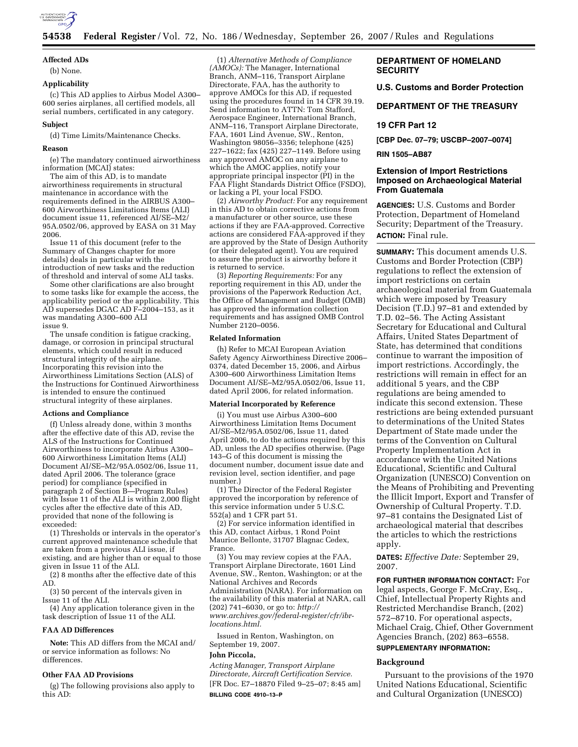

# **Affected ADs**

(b) None.

# **Applicability**

(c) This AD applies to Airbus Model A300– 600 series airplanes, all certified models, all serial numbers, certificated in any category.

#### **Subject**

(d) Time Limits/Maintenance Checks.

### **Reason**

(e) The mandatory continued airworthiness information (MCAI) states:

The aim of this AD, is to mandate airworthiness requirements in structural maintenance in accordance with the requirements defined in the AIRBUS A300– 600 Airworthiness Limitations Items (ALI) document issue 11, referenced AI/SE–M2/ 95A.0502/06, approved by EASA on 31 May 2006.

Issue 11 of this document (refer to the Summary of Changes chapter for more details) deals in particular with the introduction of new tasks and the reduction of threshold and interval of some ALI tasks.

Some other clarifications are also brought to some tasks like for example the access, the applicability period or the applicability. This AD supersedes DGAC AD F–2004–153, as it was mandating A300–600 ALI issue 9.

The unsafe condition is fatigue cracking, damage, or corrosion in principal structural elements, which could result in reduced structural integrity of the airplane. Incorporating this revision into the Airworthiness Limitations Section (ALS) of the Instructions for Continued Airworthiness is intended to ensure the continued structural integrity of these airplanes.

## **Actions and Compliance**

(f) Unless already done, within 3 months after the effective date of this AD, revise the ALS of the Instructions for Continued Airworthiness to incorporate Airbus A300– 600 Airworthiness Limitation Items (ALI) Document AI/SE–M2/95A.0502/06, Issue 11, dated April 2006. The tolerance (grace period) for compliance (specified in paragraph 2 of Section B—Program Rules) with Issue 11 of the ALI is within 2,000 flight cycles after the effective date of this AD, provided that none of the following is exceeded:

(1) Thresholds or intervals in the operator's current approved maintenance schedule that are taken from a previous ALI issue, if existing, and are higher than or equal to those given in Issue 11 of the ALI.

(2) 8 months after the effective date of this AD.

(3) 50 percent of the intervals given in Issue 11 of the ALI.

(4) Any application tolerance given in the task description of Issue 11 of the ALI.

#### **FAA AD Differences**

**Note:** This AD differs from the MCAI and/ or service information as follows: No differences.

#### **Other FAA AD Provisions**

(g) The following provisions also apply to this AD:

(1) *Alternative Methods of Compliance (AMOCs):* The Manager, International Branch, ANM–116, Transport Airplane Directorate, FAA, has the authority to approve AMOCs for this AD, if requested using the procedures found in 14 CFR 39.19. Send information to ATTN: Tom Stafford, Aerospace Engineer, International Branch, ANM–116, Transport Airplane Directorate, FAA, 1601 Lind Avenue, SW., Renton, Washington 98056–3356; telephone (425) 227–1622; fax (425) 227–1149. Before using any approved AMOC on any airplane to which the AMOC applies, notify your appropriate principal inspector (PI) in the FAA Flight Standards District Office (FSDO), or lacking a PI, your local FSDO.

(2) *Airworthy Product:* For any requirement in this AD to obtain corrective actions from a manufacturer or other source, use these actions if they are FAA-approved. Corrective actions are considered FAA-approved if they are approved by the State of Design Authority (or their delegated agent). You are required to assure the product is airworthy before it is returned to service.

(3) *Reporting Requirements:* For any reporting requirement in this AD, under the provisions of the Paperwork Reduction Act, the Office of Management and Budget (OMB) has approved the information collection requirements and has assigned OMB Control Number 2120–0056.

#### **Related Information**

(h) Refer to MCAI European Aviation Safety Agency Airworthiness Directive 2006– 0374, dated December 15, 2006, and Airbus A300–600 Airworthiness Limitation Items Document AI/SE–M2/95A.0502/06, Issue 11, dated April 2006, for related information.

#### **Material Incorporated by Reference**

(i) You must use Airbus A300–600 Airworthiness Limitation Items Document AI/SE–M2/95A.0502/06, Issue 11, dated April 2006, to do the actions required by this AD, unless the AD specifies otherwise. (Page 143–G of this document is missing the document number, document issue date and revision level, section identifier, and page number.)

(1) The Director of the Federal Register approved the incorporation by reference of this service information under 5 U.S.C. 552(a) and 1 CFR part 51.

(2) For service information identified in this AD, contact Airbus, 1 Rond Point Maurice Bellonte, 31707 Blagnac Cedex, France.

(3) You may review copies at the FAA, Transport Airplane Directorate, 1601 Lind Avenue, SW., Renton, Washington; or at the National Archives and Records Administration (NARA). For information on the availability of this material at NARA, call (202) 741–6030, or go to: *http:// www.archives.gov/federal-register/cfr/ibrlocations.html.* 

Issued in Renton, Washington, on September 19, 2007.

#### **John Piccola,**

*Acting Manager, Transport Airplane Directorate, Aircraft Certification Service.*  [FR Doc. E7–18870 Filed 9–25–07; 8:45 am] **BILLING CODE 4910–13–P** 

# **DEPARTMENT OF HOMELAND SECURITY**

**U.S. Customs and Border Protection** 

#### **DEPARTMENT OF THE TREASURY**

# **19 CFR Part 12**

**[CBP Dec. 07–79; USCBP–2007–0074]** 

# **RIN 1505–AB87**

## **Extension of Import Restrictions Imposed on Archaeological Material From Guatemala**

**AGENCIES:** U.S. Customs and Border Protection, Department of Homeland Security; Department of the Treasury. **ACTION:** Final rule.

**SUMMARY:** This document amends U.S. Customs and Border Protection (CBP) regulations to reflect the extension of import restrictions on certain archaeological material from Guatemala which were imposed by Treasury Decision (T.D.) 97–81 and extended by T.D. 02–56. The Acting Assistant Secretary for Educational and Cultural Affairs, United States Department of State, has determined that conditions continue to warrant the imposition of import restrictions. Accordingly, the restrictions will remain in effect for an additional 5 years, and the CBP regulations are being amended to indicate this second extension. These restrictions are being extended pursuant to determinations of the United States Department of State made under the terms of the Convention on Cultural Property Implementation Act in accordance with the United Nations Educational, Scientific and Cultural Organization (UNESCO) Convention on the Means of Prohibiting and Preventing the Illicit Import, Export and Transfer of Ownership of Cultural Property. T.D. 97–81 contains the Designated List of archaeological material that describes the articles to which the restrictions apply.

**DATES:** *Effective Date:* September 29, 2007.

**FOR FURTHER INFORMATION CONTACT:** For legal aspects, George F. McCray, Esq., Chief, Intellectual Property Rights and Restricted Merchandise Branch, (202) 572–8710. For operational aspects, Michael Craig, Chief, Other Government Agencies Branch, (202) 863–6558.

# **SUPPLEMENTARY INFORMATION:**

#### **Background**

Pursuant to the provisions of the 1970 United Nations Educational, Scientific and Cultural Organization (UNESCO)